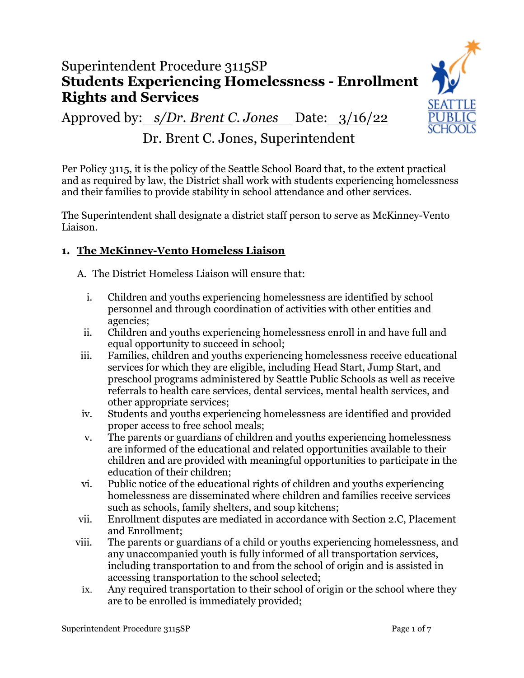# Superintendent Procedure 3115SP **Students Experiencing Homelessness - Enrollment Rights and Services**

**SEATTLE** 

Approved by: *s/Dr. Brent C. Jones* Date: 3/16/22

# Dr. Brent C. Jones, Superintendent

Per Policy 3115, it is the policy of the Seattle School Board that, to the extent practical and as required by law, the District shall work with students experiencing homelessness and their families to provide stability in school attendance and other services.

The Superintendent shall designate a district staff person to serve as McKinney-Vento Liaison.

### **1. The McKinney-Vento Homeless Liaison**

A. The District Homeless Liaison will ensure that:

- i. Children and youths experiencing homelessness are identified by school personnel and through coordination of activities with other entities and agencies;
- ii. Children and youths experiencing homelessness enroll in and have full and equal opportunity to succeed in school;
- iii. Families, children and youths experiencing homelessness receive educational services for which they are eligible, including Head Start, Jump Start, and preschool programs administered by Seattle Public Schools as well as receive referrals to health care services, dental services, mental health services, and other appropriate services;
- iv. Students and youths experiencing homelessness are identified and provided proper access to free school meals;
- v. The parents or guardians of children and youths experiencing homelessness are informed of the educational and related opportunities available to their children and are provided with meaningful opportunities to participate in the education of their children;
- vi. Public notice of the educational rights of children and youths experiencing homelessness are disseminated where children and families receive services such as schools, family shelters, and soup kitchens;
- vii. Enrollment disputes are mediated in accordance with Section 2.C, Placement and Enrollment;
- viii. The parents or guardians of a child or youths experiencing homelessness, and any unaccompanied youth is fully informed of all transportation services, including transportation to and from the school of origin and is assisted in accessing transportation to the school selected;
	- ix. Any required transportation to their school of origin or the school where they are to be enrolled is immediately provided;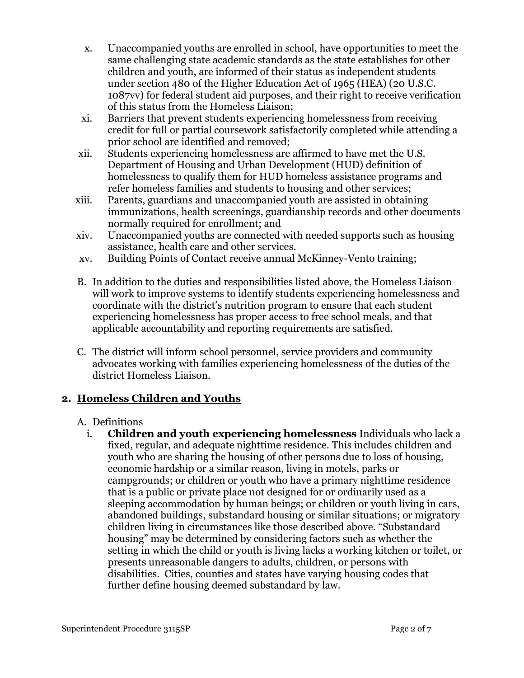- x. Unaccompanied youths are enrolled in school, have opportunities to meet the same challenging state academic standards as the state establishes for other children and youth, are informed of their status as independent students under section 480 of the Higher Education Act of 1965 (HEA) (20 U.S.C. 1087vv) for federal student aid purposes, and their right to receive verification of this status from the Homeless Liaison;
- xi. Barriers that prevent students experiencing homelessness from receiving credit for full or partial coursework satisfactorily completed while attending a prior school are identified and removed;
- xii. Students experiencing homelessness are affirmed to have met the U.S. Department of Housing and Urban Development (HUD) definition of homelessness to qualify them for HUD homeless assistance programs and refer homeless families and students to housing and other services;
- xiii. Parents, guardians and unaccompanied youth are assisted in obtaining immunizations, health screenings, guardianship records and other documents normally required for enrollment; and
- xiv. Unaccompanied youths are connected with needed supports such as housing assistance, health care and other services.
- xv. Building Points of Contact receive annual McKinney-Vento training;
- B. In addition to the duties and responsibilities listed above, the Homeless Liaison will work to improve systems to identify students experiencing homelessness and coordinate with the district's nutrition program to ensure that each student experiencing homelessness has proper access to free school meals, and that applicable accountability and reporting requirements are satisfied.
- C. The district will inform school personnel, service providers and community advocates working with families experiencing homelessness of the duties of the district Homeless Liaison.

### **2. Homeless Children and Youths**

#### A. Definitions

i. **Children and youth experiencing homelessness** Individuals who lack a fixed, regular, and adequate nighttime residence. This includes children and youth who are sharing the housing of other persons due to loss of housing, economic hardship or a similar reason, living in motels, parks or campgrounds; or children or youth who have a primary nighttime residence that is a public or private place not designed for or ordinarily used as a sleeping accommodation by human beings; or children or youth living in cars, abandoned buildings, substandard housing or similar situations; or migratory children living in circumstances like those described above. "Substandard housing" may be determined by considering factors such as whether the setting in which the child or youth is living lacks a working kitchen or toilet, or presents unreasonable dangers to adults, children, or persons with disabilities. Cities, counties and states have varying housing codes that further define housing deemed substandard by law.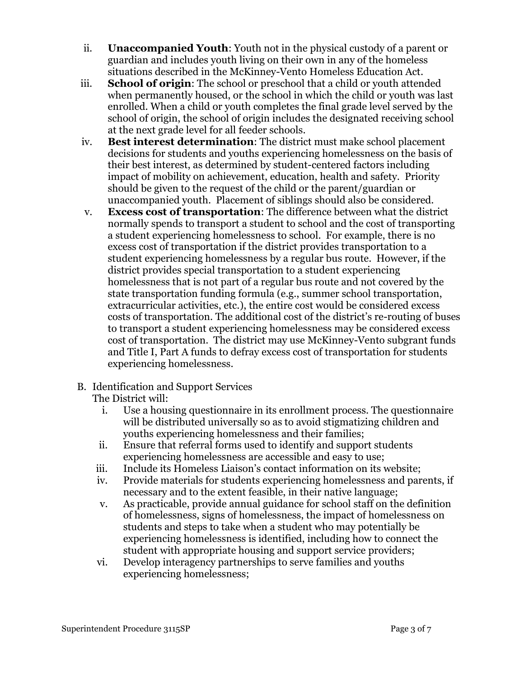- ii. **Unaccompanied Youth**: Youth not in the physical custody of a parent or guardian and includes youth living on their own in any of the homeless situations described in the McKinney-Vento Homeless Education Act.
- iii. **School of origin**: The school or preschool that a child or youth attended when permanently housed, or the school in which the child or youth was last enrolled. When a child or youth completes the final grade level served by the school of origin, the school of origin includes the designated receiving school at the next grade level for all feeder schools.
- iv. **Best interest determination**: The district must make school placement decisions for students and youths experiencing homelessness on the basis of their best interest, as determined by student-centered factors including impact of mobility on achievement, education, health and safety. Priority should be given to the request of the child or the parent/guardian or unaccompanied youth. Placement of siblings should also be considered.
- v. **Excess cost of transportation**: The difference between what the district normally spends to transport a student to school and the cost of transporting a student experiencing homelessness to school. For example, there is no excess cost of transportation if the district provides transportation to a student experiencing homelessness by a regular bus route. However, if the district provides special transportation to a student experiencing homelessness that is not part of a regular bus route and not covered by the state transportation funding formula (e.g., summer school transportation, extracurricular activities, etc.), the entire cost would be considered excess costs of transportation. The additional cost of the district's re-routing of buses to transport a student experiencing homelessness may be considered excess cost of transportation. The district may use McKinney-Vento subgrant funds and Title I, Part A funds to defray excess cost of transportation for students experiencing homelessness.
- B. Identification and Support Services

The District will:

- i. Use a housing questionnaire in its enrollment process. The questionnaire will be distributed universally so as to avoid stigmatizing children and youths experiencing homelessness and their families;
- ii. Ensure that referral forms used to identify and support students experiencing homelessness are accessible and easy to use;
- iii. Include its Homeless Liaison's contact information on its website;
- iv. Provide materials for students experiencing homelessness and parents, if necessary and to the extent feasible, in their native language;
- v. As practicable, provide annual guidance for school staff on the definition of homelessness, signs of homelessness, the impact of homelessness on students and steps to take when a student who may potentially be experiencing homelessness is identified, including how to connect the student with appropriate housing and support service providers;
- vi. Develop interagency partnerships to serve families and youths experiencing homelessness;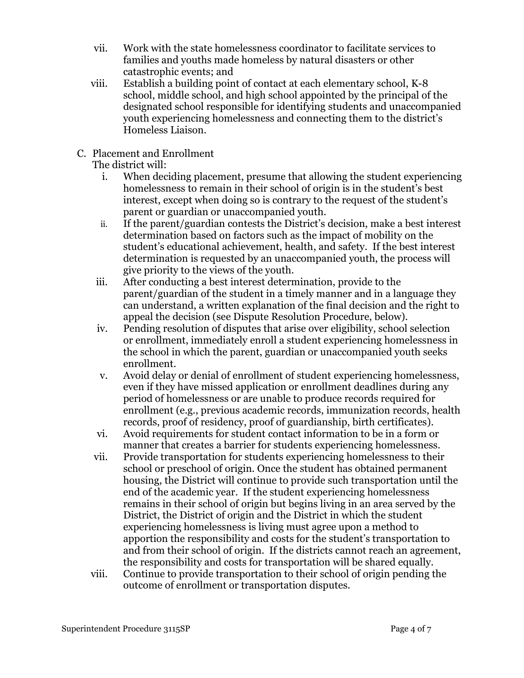- vii. Work with the state homelessness coordinator to facilitate services to families and youths made homeless by natural disasters or other catastrophic events; and
- viii. Establish a building point of contact at each elementary school, K-8 school, middle school, and high school appointed by the principal of the designated school responsible for identifying students and unaccompanied youth experiencing homelessness and connecting them to the district's Homeless Liaison.
- C. Placement and Enrollment

The district will:

- i. When deciding placement, presume that allowing the student experiencing homelessness to remain in their school of origin is in the student's best interest, except when doing so is contrary to the request of the student's parent or guardian or unaccompanied youth.
- ii. If the parent/guardian contests the District's decision, make a best interest determination based on factors such as the impact of mobility on the student's educational achievement, health, and safety. If the best interest determination is requested by an unaccompanied youth, the process will give priority to the views of the youth.
- iii. After conducting a best interest determination, provide to the parent/guardian of the student in a timely manner and in a language they can understand, a written explanation of the final decision and the right to appeal the decision (see Dispute Resolution Procedure, below).
- iv. Pending resolution of disputes that arise over eligibility, school selection or enrollment, immediately enroll a student experiencing homelessness in the school in which the parent, guardian or unaccompanied youth seeks enrollment.
- v. Avoid delay or denial of enrollment of student experiencing homelessness, even if they have missed application or enrollment deadlines during any period of homelessness or are unable to produce records required for enrollment (e.g., previous academic records, immunization records, health records, proof of residency, proof of guardianship, birth certificates).
- vi. Avoid requirements for student contact information to be in a form or manner that creates a barrier for students experiencing homelessness.
- vii. Provide transportation for students experiencing homelessness to their school or preschool of origin. Once the student has obtained permanent housing, the District will continue to provide such transportation until the end of the academic year. If the student experiencing homelessness remains in their school of origin but begins living in an area served by the District, the District of origin and the District in which the student experiencing homelessness is living must agree upon a method to apportion the responsibility and costs for the student's transportation to and from their school of origin. If the districts cannot reach an agreement, the responsibility and costs for transportation will be shared equally.
- viii. Continue to provide transportation to their school of origin pending the outcome of enrollment or transportation disputes.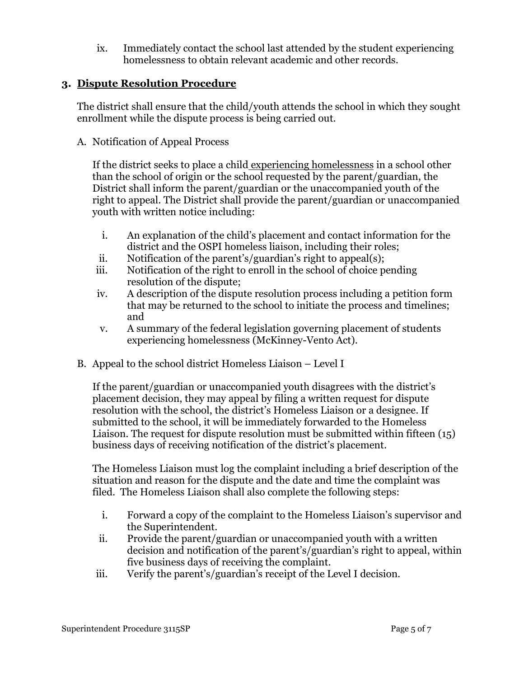ix. Immediately contact the school last attended by the student experiencing homelessness to obtain relevant academic and other records.

#### **3. Dispute Resolution Procedure**

The district shall ensure that the child/youth attends the school in which they sought enrollment while the dispute process is being carried out.

A. Notification of Appeal Process

If the district seeks to place a child experiencing homelessness in a school other than the school of origin or the school requested by the parent/guardian, the District shall inform the parent/guardian or the unaccompanied youth of the right to appeal. The District shall provide the parent/guardian or unaccompanied youth with written notice including:

- i. An explanation of the child's placement and contact information for the district and the OSPI homeless liaison, including their roles;
- ii. Notification of the parent's/guardian's right to appeal(s);
- iii. Notification of the right to enroll in the school of choice pending resolution of the dispute;
- iv. A description of the dispute resolution process including a petition form that may be returned to the school to initiate the process and timelines; and
- v. A summary of the federal legislation governing placement of students experiencing homelessness (McKinney-Vento Act).
- B. Appeal to the school district Homeless Liaison Level I

If the parent/guardian or unaccompanied youth disagrees with the district's placement decision, they may appeal by filing a written request for dispute resolution with the school, the district's Homeless Liaison or a designee. If submitted to the school, it will be immediately forwarded to the Homeless Liaison. The request for dispute resolution must be submitted within fifteen (15) business days of receiving notification of the district's placement.

The Homeless Liaison must log the complaint including a brief description of the situation and reason for the dispute and the date and time the complaint was filed. The Homeless Liaison shall also complete the following steps:

- i. Forward a copy of the complaint to the Homeless Liaison's supervisor and the Superintendent.
- ii. Provide the parent/guardian or unaccompanied youth with a written decision and notification of the parent's/guardian's right to appeal, within five business days of receiving the complaint.
- iii. Verify the parent's/guardian's receipt of the Level I decision.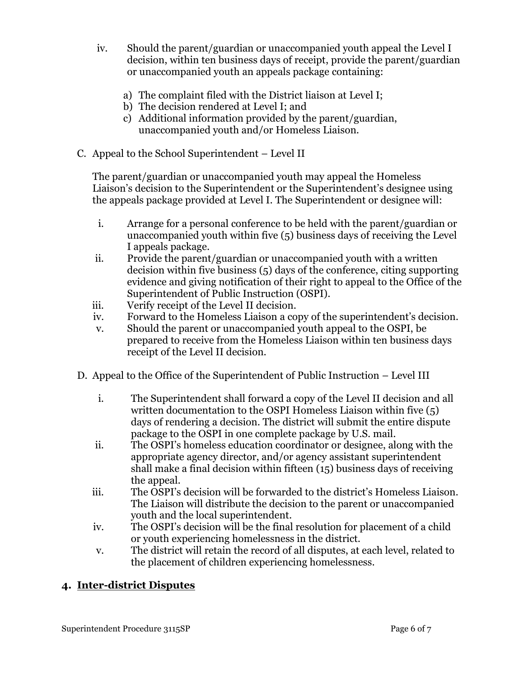- iv. Should the parent/guardian or unaccompanied youth appeal the Level I decision, within ten business days of receipt, provide the parent/guardian or unaccompanied youth an appeals package containing:
	- a) The complaint filed with the District liaison at Level I;
	- b) The decision rendered at Level I; and
	- c) Additional information provided by the parent/guardian, unaccompanied youth and/or Homeless Liaison.
- C. Appeal to the School Superintendent Level II

The parent/guardian or unaccompanied youth may appeal the Homeless Liaison's decision to the Superintendent or the Superintendent's designee using the appeals package provided at Level I. The Superintendent or designee will:

- i. Arrange for a personal conference to be held with the parent/guardian or unaccompanied youth within five (5) business days of receiving the Level I appeals package.
- ii. Provide the parent/guardian or unaccompanied youth with a written decision within five business (5) days of the conference, citing supporting evidence and giving notification of their right to appeal to the Office of the Superintendent of Public Instruction (OSPI).
- iii. Verify receipt of the Level II decision.
- iv. Forward to the Homeless Liaison a copy of the superintendent's decision.
- v. Should the parent or unaccompanied youth appeal to the OSPI, be prepared to receive from the Homeless Liaison within ten business days receipt of the Level II decision.
- D. Appeal to the Office of the Superintendent of Public Instruction Level III
	- i. The Superintendent shall forward a copy of the Level II decision and all written documentation to the OSPI Homeless Liaison within five (5) days of rendering a decision. The district will submit the entire dispute package to the OSPI in one complete package by U.S. mail.
	- ii. The OSPI's homeless education coordinator or designee, along with the appropriate agency director, and/or agency assistant superintendent shall make a final decision within fifteen (15) business days of receiving the appeal.
	- iii. The OSPI's decision will be forwarded to the district's Homeless Liaison. The Liaison will distribute the decision to the parent or unaccompanied youth and the local superintendent.
	- iv. The OSPI's decision will be the final resolution for placement of a child or youth experiencing homelessness in the district.
	- v. The district will retain the record of all disputes, at each level, related to the placement of children experiencing homelessness.

### **4. Inter-district Disputes**